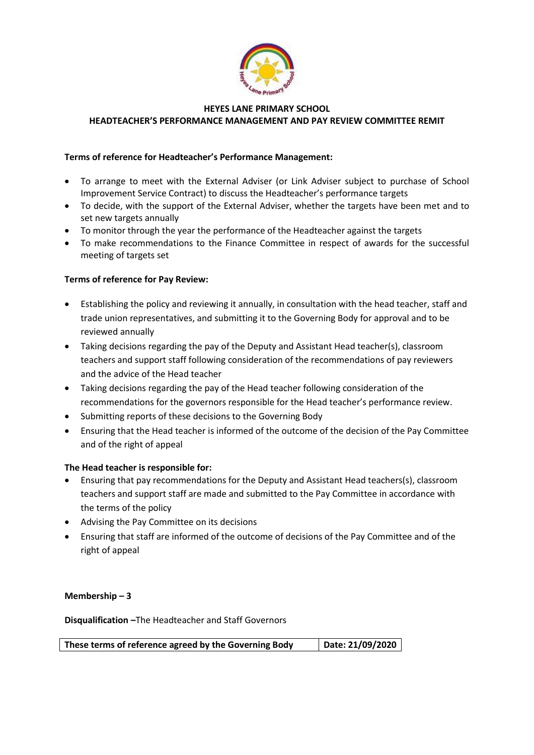

# **HEYES LANE PRIMARY SCHOOL HEADTEACHER'S PERFORMANCE MANAGEMENT AND PAY REVIEW COMMITTEE REMIT**

# **Terms of reference for Headteacher's Performance Management:**

- To arrange to meet with the External Adviser (or Link Adviser subject to purchase of School Improvement Service Contract) to discuss the Headteacher's performance targets
- To decide, with the support of the External Adviser, whether the targets have been met and to set new targets annually
- To monitor through the year the performance of the Headteacher against the targets
- To make recommendations to the Finance Committee in respect of awards for the successful meeting of targets set

## **Terms of reference for Pay Review:**

- Establishing the policy and reviewing it annually, in consultation with the head teacher, staff and trade union representatives, and submitting it to the Governing Body for approval and to be reviewed annually
- Taking decisions regarding the pay of the Deputy and Assistant Head teacher(s), classroom teachers and support staff following consideration of the recommendations of pay reviewers and the advice of the Head teacher
- Taking decisions regarding the pay of the Head teacher following consideration of the recommendations for the governors responsible for the Head teacher's performance review.
- Submitting reports of these decisions to the Governing Body
- Ensuring that the Head teacher is informed of the outcome of the decision of the Pay Committee and of the right of appeal

### **The Head teacher is responsible for:**

- Ensuring that pay recommendations for the Deputy and Assistant Head teachers(s), classroom teachers and support staff are made and submitted to the Pay Committee in accordance with the terms of the policy
- Advising the Pay Committee on its decisions
- Ensuring that staff are informed of the outcome of decisions of the Pay Committee and of the right of appeal

### **Membership – 3**

**Disqualification –**The Headteacher and Staff Governors